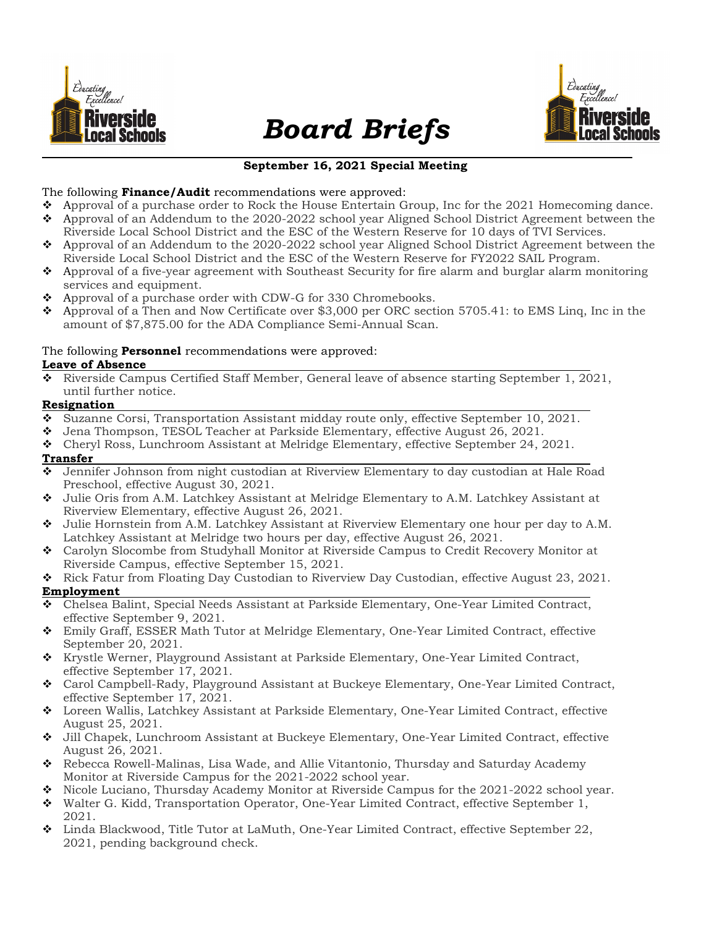

# Board Briefs



# September 16, 2021 Special Meeting

## The following Finance/Audit recommendations were approved:

- Approval of a purchase order to Rock the House Entertain Group, Inc for the 2021 Homecoming dance. Approval of an Addendum to the 2020-2022 school year Aligned School District Agreement between the
- Riverside Local School District and the ESC of the Western Reserve for 10 days of TVI Services. Approval of an Addendum to the 2020-2022 school year Aligned School District Agreement between the
- Riverside Local School District and the ESC of the Western Reserve for FY2022 SAIL Program.
- Approval of a five-year agreement with Southeast Security for fire alarm and burglar alarm monitoring services and equipment.
- Approval of a purchase order with CDW-G for 330 Chromebooks.
- $\bullet$  Approval of a Then and Now Certificate over \$3,000 per ORC section 5705.41: to EMS Ling, Inc in the amount of \$7,875.00 for the ADA Compliance Semi-Annual Scan.

# The following **Personnel** recommendations were approved:

#### Leave of Absence

 Riverside Campus Certified Staff Member, General leave of absence starting September 1, 2021, until further notice.

#### Resignation

- Suzanne Corsi, Transportation Assistant midday route only, effective September 10, 2021.
- Jena Thompson, TESOL Teacher at Parkside Elementary, effective August 26, 2021.
- Cheryl Ross, Lunchroom Assistant at Melridge Elementary, effective September 24, 2021.

#### Transfer

- Jennifer Johnson from night custodian at Riverview Elementary to day custodian at Hale Road Preschool, effective August 30, 2021.
- Julie Oris from A.M. Latchkey Assistant at Melridge Elementary to A.M. Latchkey Assistant at Riverview Elementary, effective August 26, 2021.
- Julie Hornstein from A.M. Latchkey Assistant at Riverview Elementary one hour per day to A.M. Latchkey Assistant at Melridge two hours per day, effective August 26, 2021.
- Carolyn Slocombe from Studyhall Monitor at Riverside Campus to Credit Recovery Monitor at Riverside Campus, effective September 15, 2021.
- Rick Fatur from Floating Day Custodian to Riverview Day Custodian, effective August 23, 2021. Employment
- Chelsea Balint, Special Needs Assistant at Parkside Elementary, One-Year Limited Contract, effective September 9, 2021.
- Emily Graff, ESSER Math Tutor at Melridge Elementary, One-Year Limited Contract, effective September 20, 2021.
- Krystle Werner, Playground Assistant at Parkside Elementary, One-Year Limited Contract, effective September 17, 2021.
- Carol Campbell-Rady, Playground Assistant at Buckeye Elementary, One-Year Limited Contract, effective September 17, 2021.
- Loreen Wallis, Latchkey Assistant at Parkside Elementary, One-Year Limited Contract, effective August 25, 2021.
- Jill Chapek, Lunchroom Assistant at Buckeye Elementary, One-Year Limited Contract, effective August 26, 2021.
- Rebecca Rowell-Malinas, Lisa Wade, and Allie Vitantonio, Thursday and Saturday Academy Monitor at Riverside Campus for the 2021-2022 school year.
- ◆ Nicole Luciano, Thursday Academy Monitor at Riverside Campus for the 2021-2022 school year.
- Walter G. Kidd, Transportation Operator, One-Year Limited Contract, effective September 1, 2021.
- Linda Blackwood, Title Tutor at LaMuth, One-Year Limited Contract, effective September 22, 2021, pending background check.